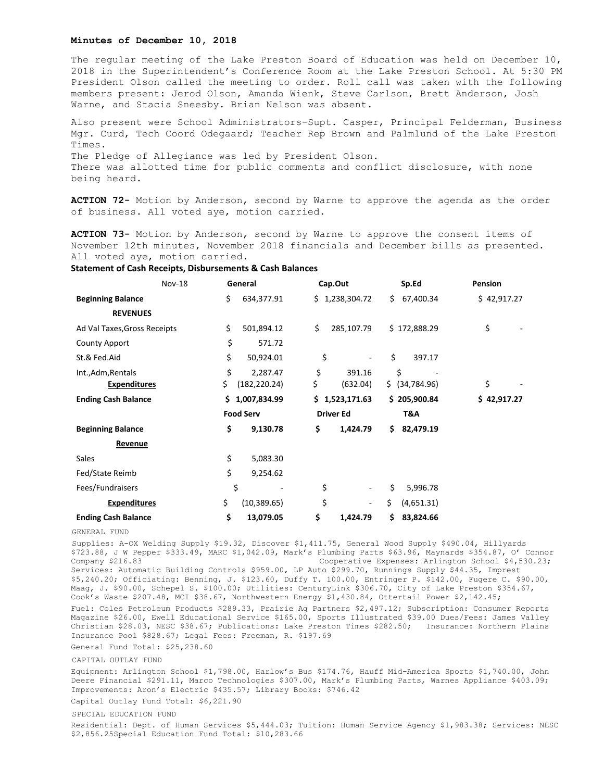## **Minutes of December 10, 2018**

The regular meeting of the Lake Preston Board of Education was held on December 10, 2018 in the Superintendent's Conference Room at the Lake Preston School. At 5:30 PM President Olson called the meeting to order. Roll call was taken with the following members present: Jerod Olson, Amanda Wienk, Steve Carlson, Brett Anderson, Josh Warne, and Stacia Sneesby. Brian Nelson was absent.

Also present were School Administrators-Supt. Casper, Principal Felderman, Business Mgr. Curd, Tech Coord Odegaard; Teacher Rep Brown and Palmlund of the Lake Preston Times. The Pledge of Allegiance was led by President Olson. There was allotted time for public comments and conflict disclosure, with none being heard.

**ACTION 72-** Motion by Anderson, second by Warne to approve the agenda as the order of business. All voted aye, motion carried.

**ACTION 73-** Motion by Anderson, second by Warne to approve the consent items of November 12th minutes, November 2018 financials and December bills as presented. All voted aye, motion carried.

| Nov-18                       | General             | Cap.Out                        | Sp.Ed            | <b>Pension</b> |
|------------------------------|---------------------|--------------------------------|------------------|----------------|
| <b>Beginning Balance</b>     | \$<br>634,377.91    | \$1,238,304.72                 | 67,400.34<br>Ś.  | \$42,917.27    |
| <b>REVENUES</b>              |                     |                                |                  |                |
| Ad Val Taxes, Gross Receipts | \$<br>501,894.12    | \$<br>285,107.79               | \$172,888.29     | \$             |
| <b>County Apport</b>         | \$<br>571.72        |                                |                  |                |
| St.& Fed.Aid                 | \$<br>50,924.01     | \$<br>$\overline{\phantom{a}}$ | \$<br>397.17     |                |
| Int., Adm, Rentals           | \$<br>2,287.47      | \$<br>391.16                   | \$               |                |
| <b>Expenditures</b>          | \$<br>(182, 220.24) | \$<br>(632.04)                 | \$ (34, 784.96)  | \$             |
| <b>Ending Cash Balance</b>   | \$1,007,834.99      | \$1,523,171.63                 | \$205,900.84     | \$42,917.27    |
|                              | <b>Food Serv</b>    | <b>Driver Ed</b>               | T&A              |                |
| <b>Beginning Balance</b>     | \$<br>9,130.78      | \$<br>1,424.79                 | 82,479.19<br>Ś.  |                |
| Revenue                      |                     |                                |                  |                |
| Sales                        | \$<br>5,083.30      |                                |                  |                |
| Fed/State Reimb              | \$<br>9,254.62      |                                |                  |                |
| Fees/Fundraisers             | \$                  | \$<br>٠                        | \$<br>5,996.78   |                |
| <b>Expenditures</b>          | \$<br>(10, 389.65)  | \$<br>$\overline{\phantom{a}}$ | \$<br>(4,651.31) |                |
| <b>Ending Cash Balance</b>   | \$<br>13,079.05     | \$<br>1,424.79                 | Ś.<br>83,824.66  |                |

## **Statement of Cash Receipts, Disbursements & Cash Balances**

GENERAL FUND

Supplies: A-OX Welding Supply \$19.32, Discover \$1,411.75, General Wood Supply \$490.04, Hillyards \$723.88, J W Pepper \$333.49, MARC \$1,042.09, Mark's Plumbing Parts \$63.96, Maynards \$354.87, O' Connor Company \$216.83 Cooperative Expenses: Arlington School \$4,530.23; Services: Automatic Building Controls \$959.00, LP Auto \$299.70, Runnings Supply \$44.35, Imprest \$5,240.20; Officiating: Benning, J. \$123.60, Duffy T. 100.00, Entringer P. \$142.00, Fugere C. \$90.00, Maag, J. \$90.00, Schepel S. \$100.00; Utilities: CenturyLink \$306.70, City of Lake Preston \$354.67, Cook's Waste \$207.48, MCI \$38.67, Northwestern Energy \$1,430.84, Ottertail Power \$2,142.45; Fuel: Coles Petroleum Products \$289.33, Prairie Ag Partners \$2,497.12; Subscription: Consumer Reports Magazine \$26.00, Ewell Educational Service \$165.00, Sports Illustrated \$39.00 Dues/Fees: James Valley Christian \$28.03, NESC \$38.67; Publications: Lake Preston Times \$282.50; Insurance: Northern Plains Insurance Pool \$828.67; Legal Fees: Freeman, R. \$197.69 General Fund Total: \$25,238.60

CAPITAL OUTLAY FUND

Equipment: Arlington School \$1,798.00, Harlow's Bus \$174.76, Hauff Mid-America Sports \$1,740.00, John Deere Financial \$291.11, Marco Technologies \$307.00, Mark's Plumbing Parts, Warnes Appliance \$403.09; Improvements: Aron's Electric \$435.57; Library Books: \$746.42

Capital Outlay Fund Total: \$6,221.90

SPECIAL EDUCATION FUND

Residential: Dept. of Human Services \$5,444.03; Tuition: Human Service Agency \$1,983.38; Services: NESC \$2,856.25Special Education Fund Total: \$10,283.66